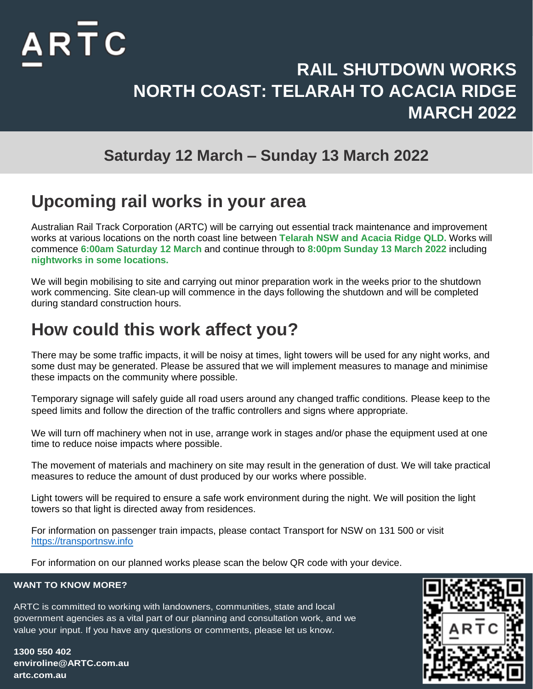# $AR<sub>T</sub>C$

## **RAIL SHUTDOWN WORKS NORTH COAST: TELARAH TO ACACIA RIDGE MARCH 2022**

#### **Saturday 12 March – Sunday 13 March 2022**

## **Upcoming rail works in your area**

Australian Rail Track Corporation (ARTC) will be carrying out essential track maintenance and improvement works at various locations on the north coast line between **Telarah NSW and Acacia Ridge QLD.** Works will commence **6:00am Saturday 12 March** and continue through to **8:00pm Sunday 13 March 2022** including **nightworks in some locations.**

We will begin mobilising to site and carrying out minor preparation work in the weeks prior to the shutdown work commencing. Site clean-up will commence in the days following the shutdown and will be completed during standard construction hours.

## **How could this work affect you?**

There may be some traffic impacts, it will be noisy at times, light towers will be used for any night works, and some dust may be generated. Please be assured that we will implement measures to manage and minimise these impacts on the community where possible.

Temporary signage will safely guide all road users around any changed traffic conditions. Please keep to the speed limits and follow the direction of the traffic controllers and signs where appropriate.

We will turn off machinery when not in use, arrange work in stages and/or phase the equipment used at one time to reduce noise impacts where possible.

The movement of materials and machinery on site may result in the generation of dust. We will take practical measures to reduce the amount of dust produced by our works where possible.

Light towers will be required to ensure a safe work environment during the night. We will position the light towers so that light is directed away from residences.

For information on passenger train impacts, please contact Transport for NSW on 131 500 or visit [https://transportnsw.info](https://transportnsw.info/)

For information on our planned works please scan the below QR code with your device.

#### **WANT TO KNOW MORE?**

ARTC is committed to working with landowners, communities, state and local government agencies as a vital part of our planning and consultation work, and we value your input. If you have any questions or comments, please let us know.

**1300 550 402 enviroline@ARTC.com.au artc.com.au**